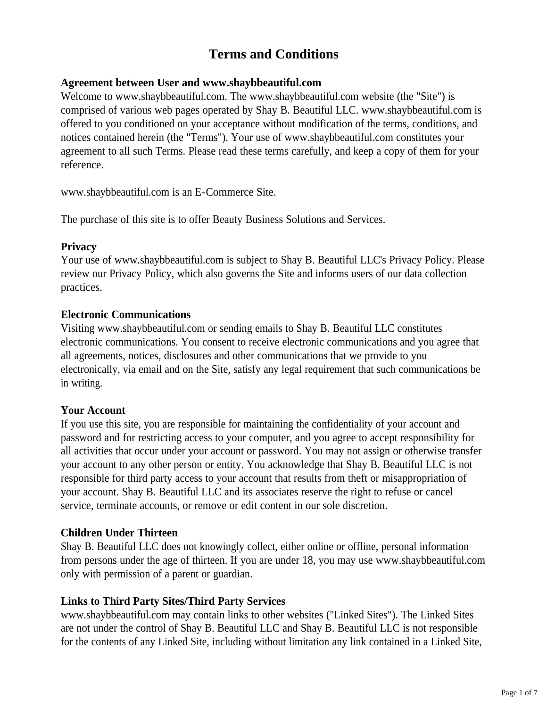# **Terms and Conditions**

### **Agreement between User and www.shaybbeautiful.com**

Welcome to www.shaybbeautiful.com. The www.shaybbeautiful.com website (the "Site") is comprised of various web pages operated by Shay B. Beautiful LLC. www.shaybbeautiful.com is offered to you conditioned on your acceptance without modification of the terms, conditions, and notices contained herein (the "Terms"). Your use of www.shaybbeautiful.com constitutes your agreement to all such Terms. Please read these terms carefully, and keep a copy of them for your reference.

www.shaybbeautiful.com is an E-Commerce Site.

The purchase of this site is to offer Beauty Business Solutions and Services.

### **Privacy**

Your use of www.shaybbeautiful.com is subject to Shay B. Beautiful LLC's Privacy Policy. Please review our Privacy Policy, which also governs the Site and informs users of our data collection practices.

### **Electronic Communications**

Visiting www.shaybbeautiful.com or sending emails to Shay B. Beautiful LLC constitutes electronic communications. You consent to receive electronic communications and you agree that all agreements, notices, disclosures and other communications that we provide to you electronically, via email and on the Site, satisfy any legal requirement that such communications be in writing.

# **Your Account**

If you use this site, you are responsible for maintaining the confidentiality of your account and password and for restricting access to your computer, and you agree to accept responsibility for all activities that occur under your account or password. You may not assign or otherwise transfer your account to any other person or entity. You acknowledge that Shay B. Beautiful LLC is not responsible for third party access to your account that results from theft or misappropriation of your account. Shay B. Beautiful LLC and its associates reserve the right to refuse or cancel service, terminate accounts, or remove or edit content in our sole discretion.

# **Children Under Thirteen**

Shay B. Beautiful LLC does not knowingly collect, either online or offline, personal information from persons under the age of thirteen. If you are under 18, you may use www.shaybbeautiful.com only with permission of a parent or guardian.

# **Links to Third Party Sites/Third Party Services**

www.shaybbeautiful.com may contain links to other websites ("Linked Sites"). The Linked Sites are not under the control of Shay B. Beautiful LLC and Shay B. Beautiful LLC is not responsible for the contents of any Linked Site, including without limitation any link contained in a Linked Site,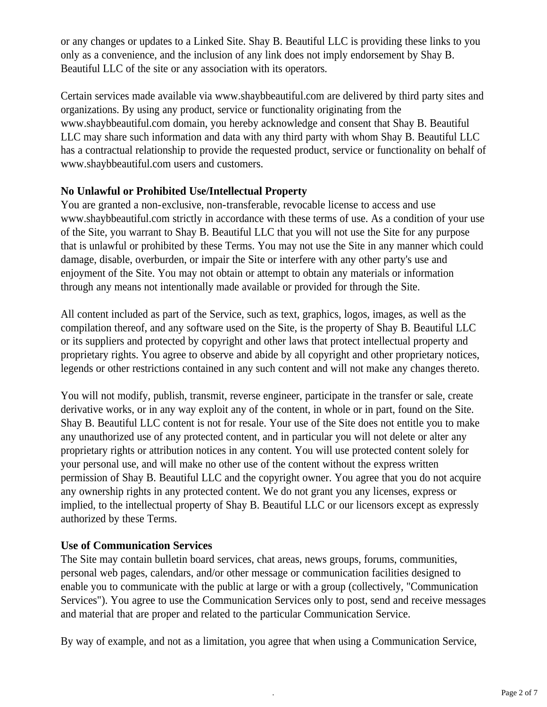or any changes or updates to a Linked Site. Shay B. Beautiful LLC is providing these links to you only as a convenience, and the inclusion of any link does not imply endorsement by Shay B. Beautiful LLC of the site or any association with its operators.

Certain services made available via www.shaybbeautiful.com are delivered by third party sites and organizations. By using any product, service or functionality originating from the www.shaybbeautiful.com domain, you hereby acknowledge and consent that Shay B. Beautiful LLC may share such information and data with any third party with whom Shay B. Beautiful LLC has a contractual relationship to provide the requested product, service or functionality on behalf of www.shaybbeautiful.com users and customers.

# **No Unlawful or Prohibited Use/Intellectual Property**

You are granted a non-exclusive, non-transferable, revocable license to access and use www.shaybbeautiful.com strictly in accordance with these terms of use. As a condition of your use of the Site, you warrant to Shay B. Beautiful LLC that you will not use the Site for any purpose that is unlawful or prohibited by these Terms. You may not use the Site in any manner which could damage, disable, overburden, or impair the Site or interfere with any other party's use and enjoyment of the Site. You may not obtain or attempt to obtain any materials or information through any means not intentionally made available or provided for through the Site.

All content included as part of the Service, such as text, graphics, logos, images, as well as the compilation thereof, and any software used on the Site, is the property of Shay B. Beautiful LLC or its suppliers and protected by copyright and other laws that protect intellectual property and proprietary rights. You agree to observe and abide by all copyright and other proprietary notices, legends or other restrictions contained in any such content and will not make any changes thereto.

You will not modify, publish, transmit, reverse engineer, participate in the transfer or sale, create derivative works, or in any way exploit any of the content, in whole or in part, found on the Site. Shay B. Beautiful LLC content is not for resale. Your use of the Site does not entitle you to make any unauthorized use of any protected content, and in particular you will not delete or alter any proprietary rights or attribution notices in any content. You will use protected content solely for your personal use, and will make no other use of the content without the express written permission of Shay B. Beautiful LLC and the copyright owner. You agree that you do not acquire any ownership rights in any protected content. We do not grant you any licenses, express or implied, to the intellectual property of Shay B. Beautiful LLC or our licensors except as expressly authorized by these Terms.

# **Use of Communication Services**

The Site may contain bulletin board services, chat areas, news groups, forums, communities, personal web pages, calendars, and/or other message or communication facilities designed to enable you to communicate with the public at large or with a group (collectively, "Communication Services"). You agree to use the Communication Services only to post, send and receive messages and material that are proper and related to the particular Communication Service.

By way of example, and not as a limitation, you agree that when using a Communication Service,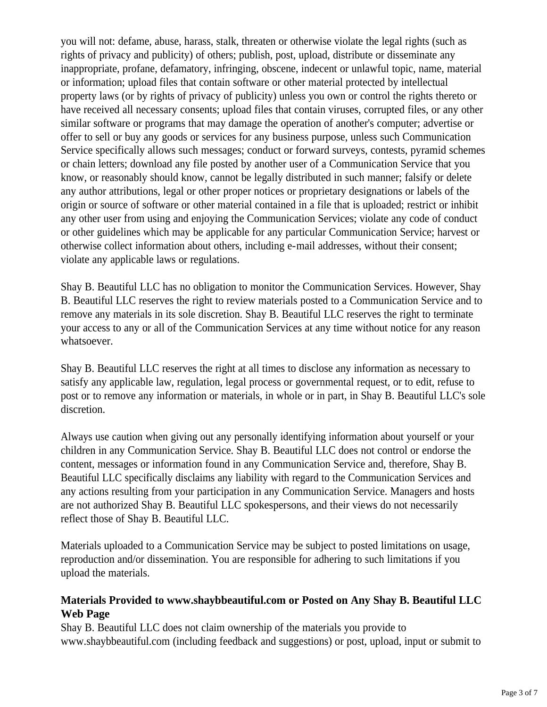you will not: defame, abuse, harass, stalk, threaten or otherwise violate the legal rights (such as rights of privacy and publicity) of others; publish, post, upload, distribute or disseminate any inappropriate, profane, defamatory, infringing, obscene, indecent or unlawful topic, name, material or information; upload files that contain software or other material protected by intellectual property laws (or by rights of privacy of publicity) unless you own or control the rights thereto or have received all necessary consents; upload files that contain viruses, corrupted files, or any other similar software or programs that may damage the operation of another's computer; advertise or offer to sell or buy any goods or services for any business purpose, unless such Communication Service specifically allows such messages; conduct or forward surveys, contests, pyramid schemes or chain letters; download any file posted by another user of a Communication Service that you know, or reasonably should know, cannot be legally distributed in such manner; falsify or delete any author attributions, legal or other proper notices or proprietary designations or labels of the origin or source of software or other material contained in a file that is uploaded; restrict or inhibit any other user from using and enjoying the Communication Services; violate any code of conduct or other guidelines which may be applicable for any particular Communication Service; harvest or otherwise collect information about others, including e-mail addresses, without their consent; violate any applicable laws or regulations.

Shay B. Beautiful LLC has no obligation to monitor the Communication Services. However, Shay B. Beautiful LLC reserves the right to review materials posted to a Communication Service and to remove any materials in its sole discretion. Shay B. Beautiful LLC reserves the right to terminate your access to any or all of the Communication Services at any time without notice for any reason whatsoever.

Shay B. Beautiful LLC reserves the right at all times to disclose any information as necessary to satisfy any applicable law, regulation, legal process or governmental request, or to edit, refuse to post or to remove any information or materials, in whole or in part, in Shay B. Beautiful LLC's sole discretion.

Always use caution when giving out any personally identifying information about yourself or your children in any Communication Service. Shay B. Beautiful LLC does not control or endorse the content, messages or information found in any Communication Service and, therefore, Shay B. Beautiful LLC specifically disclaims any liability with regard to the Communication Services and any actions resulting from your participation in any Communication Service. Managers and hosts are not authorized Shay B. Beautiful LLC spokespersons, and their views do not necessarily reflect those of Shay B. Beautiful LLC.

Materials uploaded to a Communication Service may be subject to posted limitations on usage, reproduction and/or dissemination. You are responsible for adhering to such limitations if you upload the materials.

# **Materials Provided to www.shaybbeautiful.com or Posted on Any Shay B. Beautiful LLC Web Page**

Shay B. Beautiful LLC does not claim ownership of the materials you provide to www.shaybbeautiful.com (including feedback and suggestions) or post, upload, input or submit to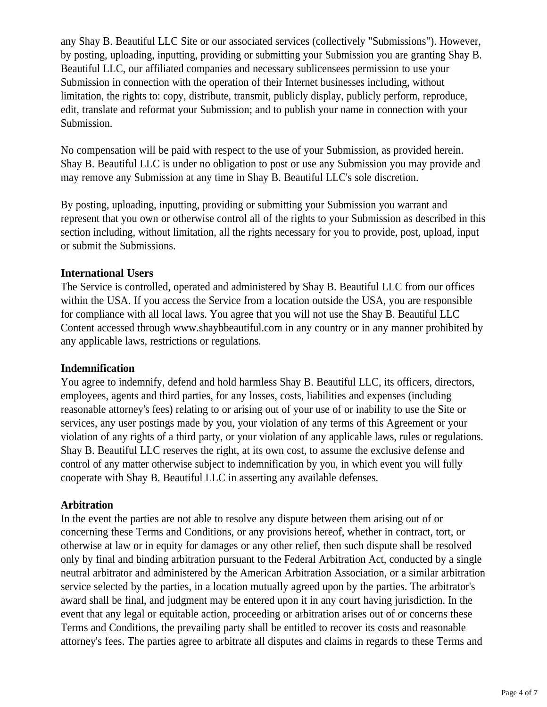any Shay B. Beautiful LLC Site or our associated services (collectively "Submissions"). However, by posting, uploading, inputting, providing or submitting your Submission you are granting Shay B. Beautiful LLC, our affiliated companies and necessary sublicensees permission to use your Submission in connection with the operation of their Internet businesses including, without limitation, the rights to: copy, distribute, transmit, publicly display, publicly perform, reproduce, edit, translate and reformat your Submission; and to publish your name in connection with your Submission.

No compensation will be paid with respect to the use of your Submission, as provided herein. Shay B. Beautiful LLC is under no obligation to post or use any Submission you may provide and may remove any Submission at any time in Shay B. Beautiful LLC's sole discretion.

By posting, uploading, inputting, providing or submitting your Submission you warrant and represent that you own or otherwise control all of the rights to your Submission as described in this section including, without limitation, all the rights necessary for you to provide, post, upload, input or submit the Submissions.

### **International Users**

The Service is controlled, operated and administered by Shay B. Beautiful LLC from our offices within the USA. If you access the Service from a location outside the USA, you are responsible for compliance with all local laws. You agree that you will not use the Shay B. Beautiful LLC Content accessed through www.shaybbeautiful.com in any country or in any manner prohibited by any applicable laws, restrictions or regulations.

#### **Indemnification**

You agree to indemnify, defend and hold harmless Shay B. Beautiful LLC, its officers, directors, employees, agents and third parties, for any losses, costs, liabilities and expenses (including reasonable attorney's fees) relating to or arising out of your use of or inability to use the Site or services, any user postings made by you, your violation of any terms of this Agreement or your violation of any rights of a third party, or your violation of any applicable laws, rules or regulations. Shay B. Beautiful LLC reserves the right, at its own cost, to assume the exclusive defense and control of any matter otherwise subject to indemnification by you, in which event you will fully cooperate with Shay B. Beautiful LLC in asserting any available defenses.

# **Arbitration**

In the event the parties are not able to resolve any dispute between them arising out of or concerning these Terms and Conditions, or any provisions hereof, whether in contract, tort, or otherwise at law or in equity for damages or any other relief, then such dispute shall be resolved only by final and binding arbitration pursuant to the Federal Arbitration Act, conducted by a single neutral arbitrator and administered by the American Arbitration Association, or a similar arbitration service selected by the parties, in a location mutually agreed upon by the parties. The arbitrator's award shall be final, and judgment may be entered upon it in any court having jurisdiction. In the event that any legal or equitable action, proceeding or arbitration arises out of or concerns these Terms and Conditions, the prevailing party shall be entitled to recover its costs and reasonable attorney's fees. The parties agree to arbitrate all disputes and claims in regards to these Terms and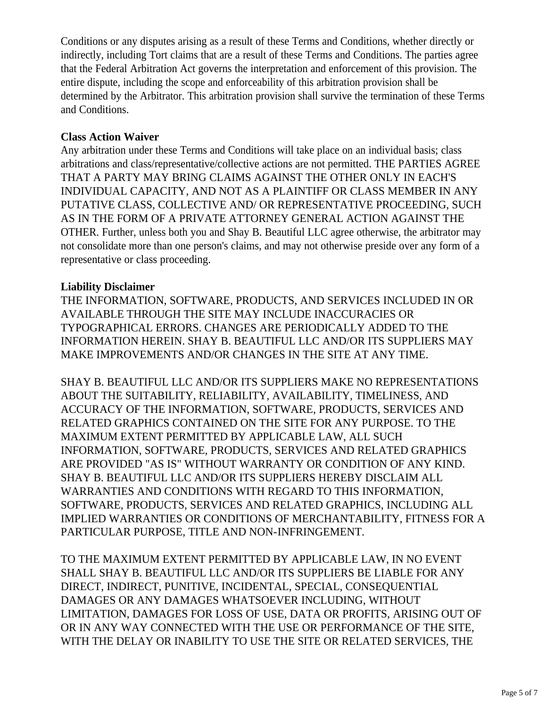Conditions or any disputes arising as a result of these Terms and Conditions, whether directly or indirectly, including Tort claims that are a result of these Terms and Conditions. The parties agree that the Federal Arbitration Act governs the interpretation and enforcement of this provision. The entire dispute, including the scope and enforceability of this arbitration provision shall be determined by the Arbitrator. This arbitration provision shall survive the termination of these Terms and Conditions.

### **Class Action Waiver**

Any arbitration under these Terms and Conditions will take place on an individual basis; class arbitrations and class/representative/collective actions are not permitted. THE PARTIES AGREE THAT A PARTY MAY BRING CLAIMS AGAINST THE OTHER ONLY IN EACH'S INDIVIDUAL CAPACITY, AND NOT AS A PLAINTIFF OR CLASS MEMBER IN ANY PUTATIVE CLASS, COLLECTIVE AND/ OR REPRESENTATIVE PROCEEDING, SUCH AS IN THE FORM OF A PRIVATE ATTORNEY GENERAL ACTION AGAINST THE OTHER. Further, unless both you and Shay B. Beautiful LLC agree otherwise, the arbitrator may not consolidate more than one person's claims, and may not otherwise preside over any form of a representative or class proceeding.

### **Liability Disclaimer**

THE INFORMATION, SOFTWARE, PRODUCTS, AND SERVICES INCLUDED IN OR AVAILABLE THROUGH THE SITE MAY INCLUDE INACCURACIES OR TYPOGRAPHICAL ERRORS. CHANGES ARE PERIODICALLY ADDED TO THE INFORMATION HEREIN. SHAY B. BEAUTIFUL LLC AND/OR ITS SUPPLIERS MAY MAKE IMPROVEMENTS AND/OR CHANGES IN THE SITE AT ANY TIME.

SHAY B. BEAUTIFUL LLC AND/OR ITS SUPPLIERS MAKE NO REPRESENTATIONS ABOUT THE SUITABILITY, RELIABILITY, AVAILABILITY, TIMELINESS, AND ACCURACY OF THE INFORMATION, SOFTWARE, PRODUCTS, SERVICES AND RELATED GRAPHICS CONTAINED ON THE SITE FOR ANY PURPOSE. TO THE MAXIMUM EXTENT PERMITTED BY APPLICABLE LAW, ALL SUCH INFORMATION, SOFTWARE, PRODUCTS, SERVICES AND RELATED GRAPHICS ARE PROVIDED "AS IS" WITHOUT WARRANTY OR CONDITION OF ANY KIND. SHAY B. BEAUTIFUL LLC AND/OR ITS SUPPLIERS HEREBY DISCLAIM ALL WARRANTIES AND CONDITIONS WITH REGARD TO THIS INFORMATION, SOFTWARE, PRODUCTS, SERVICES AND RELATED GRAPHICS, INCLUDING ALL IMPLIED WARRANTIES OR CONDITIONS OF MERCHANTABILITY, FITNESS FOR A PARTICULAR PURPOSE, TITLE AND NON-INFRINGEMENT.

TO THE MAXIMUM EXTENT PERMITTED BY APPLICABLE LAW, IN NO EVENT SHALL SHAY B. BEAUTIFUL LLC AND/OR ITS SUPPLIERS BE LIABLE FOR ANY DIRECT, INDIRECT, PUNITIVE, INCIDENTAL, SPECIAL, CONSEQUENTIAL DAMAGES OR ANY DAMAGES WHATSOEVER INCLUDING, WITHOUT LIMITATION, DAMAGES FOR LOSS OF USE, DATA OR PROFITS, ARISING OUT OF OR IN ANY WAY CONNECTED WITH THE USE OR PERFORMANCE OF THE SITE, WITH THE DELAY OR INABILITY TO USE THE SITE OR RELATED SERVICES, THE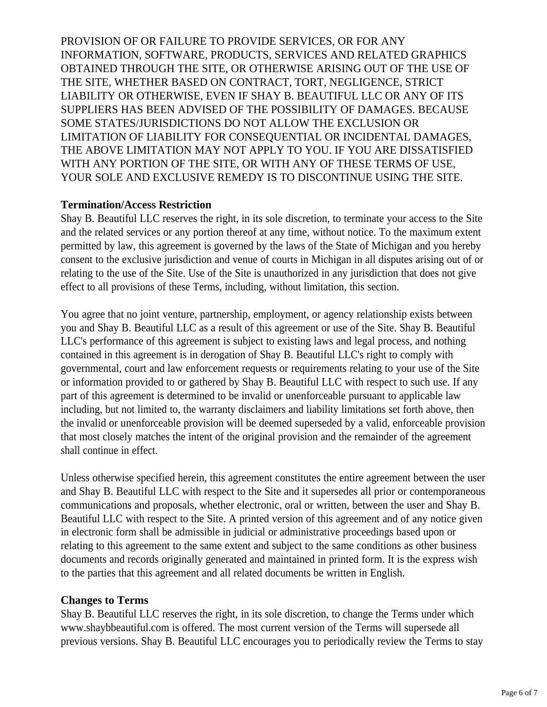PROVISION OF OR FAILURE TO PROVIDE SERVICES, OR FOR ANY INFORMATION, SOFTWARE, PRODUCTS, SERVICES AND RELATED GRAPHICS OBTAINED THROUGH THE SITE, OR OTHERWISE ARISING OUT OF THE USE OF THE SITE, WHETHER BASED ON CONTRACT, TORT, NEGLIGENCE, STRICT LIABILITY OR OTHERWISE, EVEN IF SHAY B. BEAUTIFUL LLC OR ANY OF ITS SUPPLIERS HAS BEEN ADVISED OF THE POSSIBILITY OF DAMAGES. BECAUSE SOME STATES/JURISDICTIONS DO NOT ALLOW THE EXCLUSION OR LIMITATION OF LIABILITY FOR CONSEQUENTIAL OR INCIDENTAL DAMAGES, THE ABOVE LIMITATION MAY NOT APPLY TO YOU. IF YOU ARE DISSATISFIED WITH ANY PORTION OF THE SITE, OR WITH ANY OF THESE TERMS OF USE, YOUR SOLE AND EXCLUSIVE REMEDY IS TO DISCONTINUE USING THE SITE.

# **Termination/Access Restriction**

Shay B. Beautiful LLC reserves the right, in its sole discretion, to terminate your access to the Site and the related services or any portion thereof at any time, without notice. To the maximum extent permitted by law, this agreement is governed by the laws of the State of Michigan and you hereby consent to the exclusive jurisdiction and venue of courts in Michigan in all disputes arising out of or relating to the use of the Site. Use of the Site is unauthorized in any jurisdiction that does not give effect to all provisions of these Terms, including, without limitation, this section.

You agree that no joint venture, partnership, employment, or agency relationship exists between you and Shay B. Beautiful LLC as a result of this agreement or use of the Site. Shay B. Beautiful LLC's performance of this agreement is subject to existing laws and legal process, and nothing contained in this agreement is in derogation of Shay B. Beautiful LLC's right to comply with governmental, court and law enforcement requests or requirements relating to your use of the Site or information provided to or gathered by Shay B. Beautiful LLC with respect to such use. If any part of this agreement is determined to be invalid or unenforceable pursuant to applicable law including, but not limited to, the warranty disclaimers and liability limitations set forth above, then the invalid or unenforceable provision will be deemed superseded by a valid, enforceable provision that most closely matches the intent of the original provision and the remainder of the agreement shall continue in effect.

Unless otherwise specified herein, this agreement constitutes the entire agreement between the user and Shay B. Beautiful LLC with respect to the Site and it supersedes all prior or contemporaneous communications and proposals, whether electronic, oral or written, between the user and Shay B. Beautiful LLC with respect to the Site. A printed version of this agreement and of any notice given in electronic form shall be admissible in judicial or administrative proceedings based upon or relating to this agreement to the same extent and subject to the same conditions as other business documents and records originally generated and maintained in printed form. It is the express wish to the parties that this agreement and all related documents be written in English.

#### **Changes to Terms**

Shay B. Beautiful LLC reserves the right, in its sole discretion, to change the Terms under which www.shaybbeautiful.com is offered. The most current version of the Terms will supersede all previous versions. Shay B. Beautiful LLC encourages you to periodically review the Terms to stay